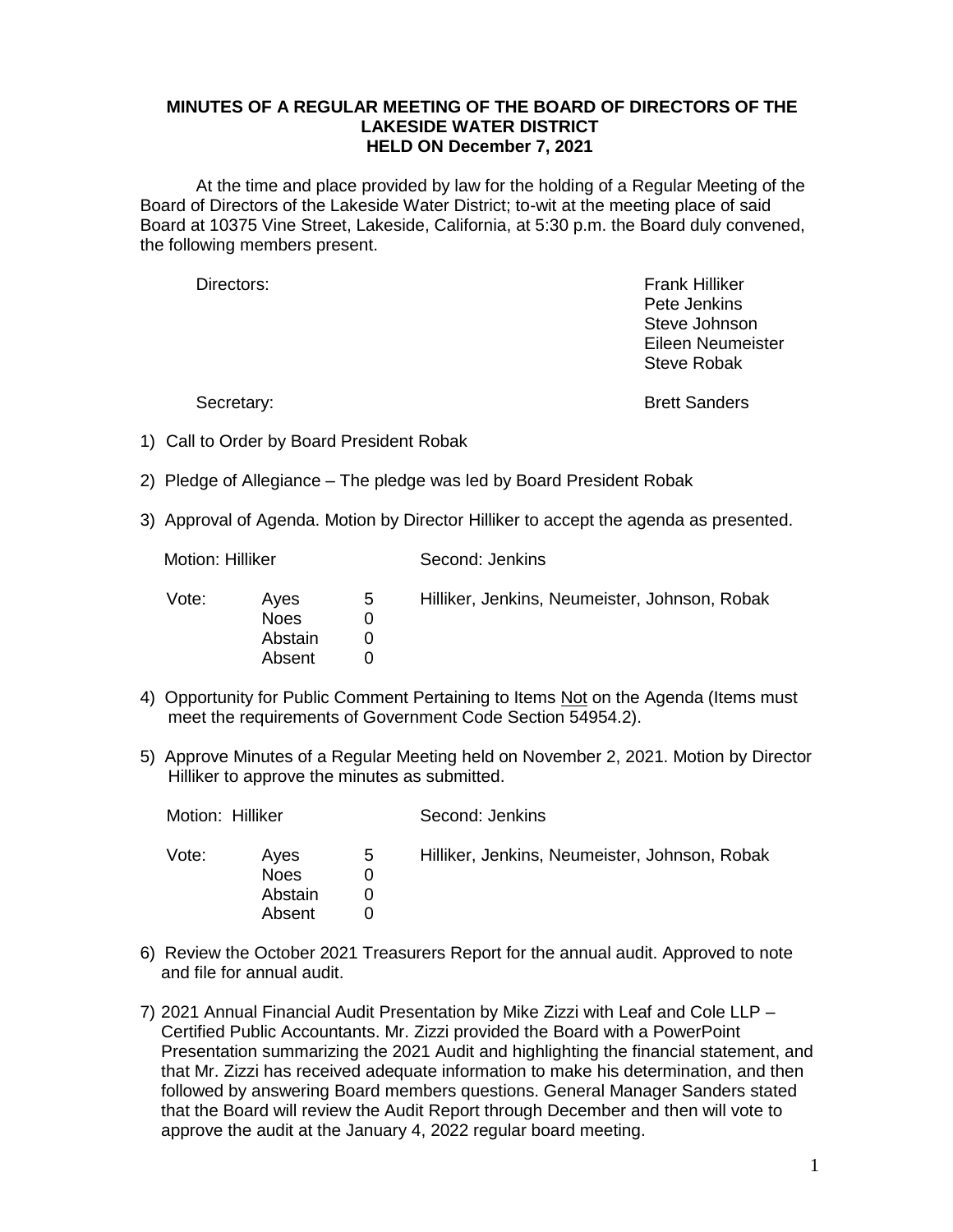## **MINUTES OF A REGULAR MEETING OF THE BOARD OF DIRECTORS OF THE LAKESIDE WATER DISTRICT HELD ON December 7, 2021**

At the time and place provided by law for the holding of a Regular Meeting of the Board of Directors of the Lakeside Water District; to-wit at the meeting place of said Board at 10375 Vine Street, Lakeside, California, at 5:30 p.m. the Board duly convened, the following members present.

Directors: Frank Hilliker Pete Jenkins Steve Johnson Eileen Neumeister Steve Robak

Secretary: Secretary: **Brett Sanders** 

- 1) Call to Order by Board President Robak
- 2) Pledge of Allegiance The pledge was led by Board President Robak
- 3) Approval of Agenda. Motion by Director Hilliker to accept the agenda as presented.

Motion: Hilliker Second: Jenkins

| Vote: | Aves<br><b>Noes</b><br>Abstain<br>Absent | 5 | Hilliker, Jenkins, Neumeister, Johnson, Robak |
|-------|------------------------------------------|---|-----------------------------------------------|
|       |                                          |   |                                               |

- 4) Opportunity for Public Comment Pertaining to Items Not on the Agenda (Items must meet the requirements of Government Code Section 54954.2).
- 5) Approve Minutes of a Regular Meeting held on November 2, 2021. Motion by Director Hilliker to approve the minutes as submitted.

| Motion: Hilliker |                                          |   | Second: Jenkins                               |  |
|------------------|------------------------------------------|---|-----------------------------------------------|--|
| Vote:            | Aves<br><b>Noes</b><br>Abstain<br>Absent | 5 | Hilliker, Jenkins, Neumeister, Johnson, Robak |  |

- 6) Review the October 2021 Treasurers Report for the annual audit. Approved to note and file for annual audit.
- 7) 2021 Annual Financial Audit Presentation by Mike Zizzi with Leaf and Cole LLP Certified Public Accountants. Mr. Zizzi provided the Board with a PowerPoint Presentation summarizing the 2021 Audit and highlighting the financial statement, and that Mr. Zizzi has received adequate information to make his determination, and then followed by answering Board members questions. General Manager Sanders stated that the Board will review the Audit Report through December and then will vote to approve the audit at the January 4, 2022 regular board meeting.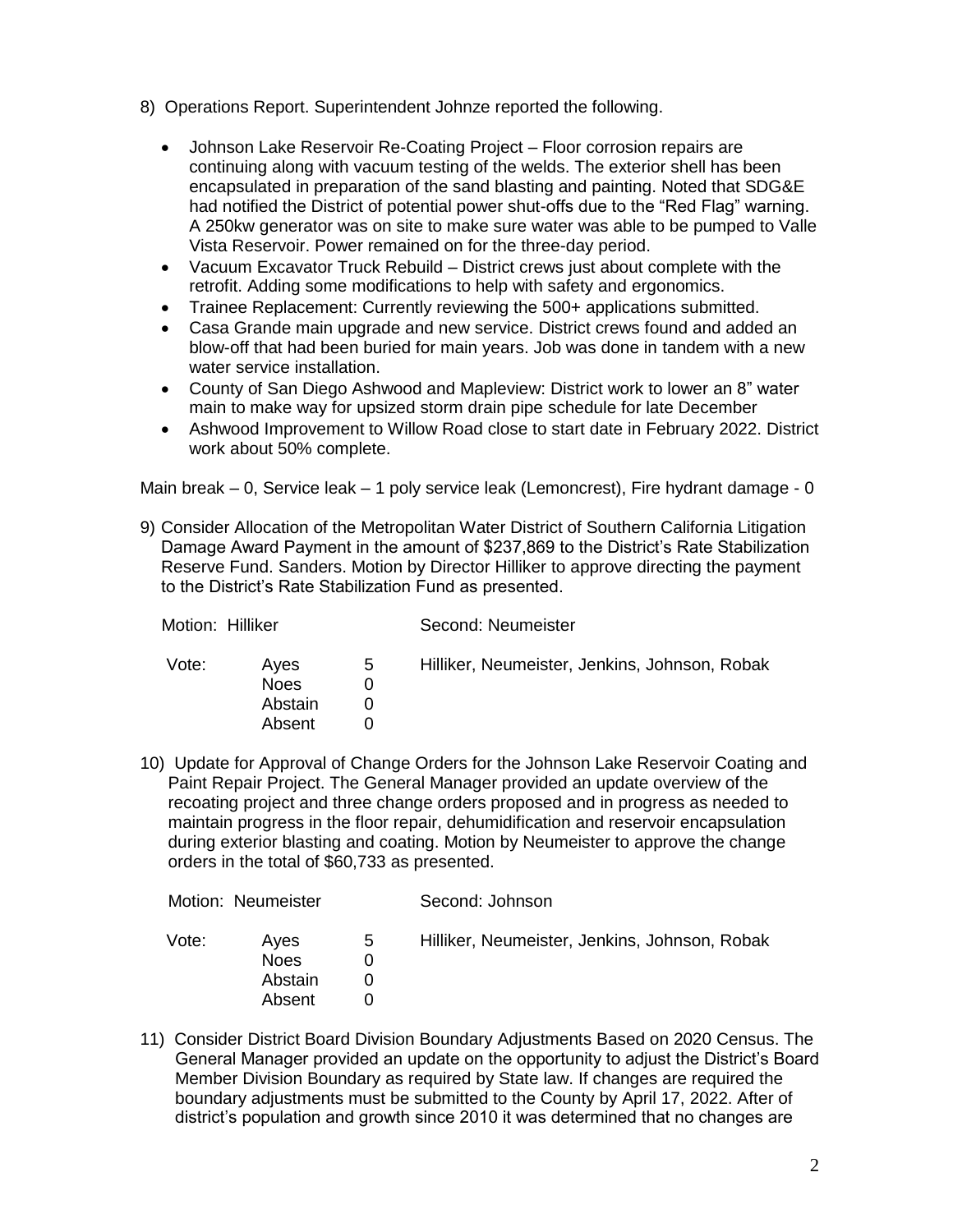- 8) Operations Report. Superintendent Johnze reported the following.
	- Johnson Lake Reservoir Re-Coating Project Floor corrosion repairs are continuing along with vacuum testing of the welds. The exterior shell has been encapsulated in preparation of the sand blasting and painting. Noted that SDG&E had notified the District of potential power shut-offs due to the "Red Flag" warning. A 250kw generator was on site to make sure water was able to be pumped to Valle Vista Reservoir. Power remained on for the three-day period.
	- Vacuum Excavator Truck Rebuild District crews just about complete with the retrofit. Adding some modifications to help with safety and ergonomics.
	- Trainee Replacement: Currently reviewing the 500+ applications submitted.
	- Casa Grande main upgrade and new service. District crews found and added an blow-off that had been buried for main years. Job was done in tandem with a new water service installation.
	- County of San Diego Ashwood and Mapleview: District work to lower an 8" water main to make way for upsized storm drain pipe schedule for late December
	- Ashwood Improvement to Willow Road close to start date in February 2022. District work about 50% complete.

Main break – 0, Service leak – 1 poly service leak (Lemoncrest), Fire hydrant damage - 0

9) Consider Allocation of the Metropolitan Water District of Southern California Litigation Damage Award Payment in the amount of \$237,869 to the District's Rate Stabilization Reserve Fund. Sanders. Motion by Director Hilliker to approve directing the payment to the District's Rate Stabilization Fund as presented.

| Motion: Hilliker |                                   |   | Second: Neumeister                            |  |
|------------------|-----------------------------------|---|-----------------------------------------------|--|
| Vote:            | Aves<br>Noes<br>Abstain<br>Absent | 5 | Hilliker, Neumeister, Jenkins, Johnson, Robak |  |

10) Update for Approval of Change Orders for the Johnson Lake Reservoir Coating and Paint Repair Project. The General Manager provided an update overview of the recoating project and three change orders proposed and in progress as needed to maintain progress in the floor repair, dehumidification and reservoir encapsulation during exterior blasting and coating. Motion by Neumeister to approve the change orders in the total of \$60,733 as presented.

| Motion: Neumeister |                                          |   | Second: Johnson                               |  |
|--------------------|------------------------------------------|---|-----------------------------------------------|--|
| Vote:              | Aves<br><b>Noes</b><br>Abstain<br>Absent | 5 | Hilliker, Neumeister, Jenkins, Johnson, Robak |  |

11) Consider District Board Division Boundary Adjustments Based on 2020 Census. The General Manager provided an update on the opportunity to adjust the District's Board Member Division Boundary as required by State law. If changes are required the boundary adjustments must be submitted to the County by April 17, 2022. After of district's population and growth since 2010 it was determined that no changes are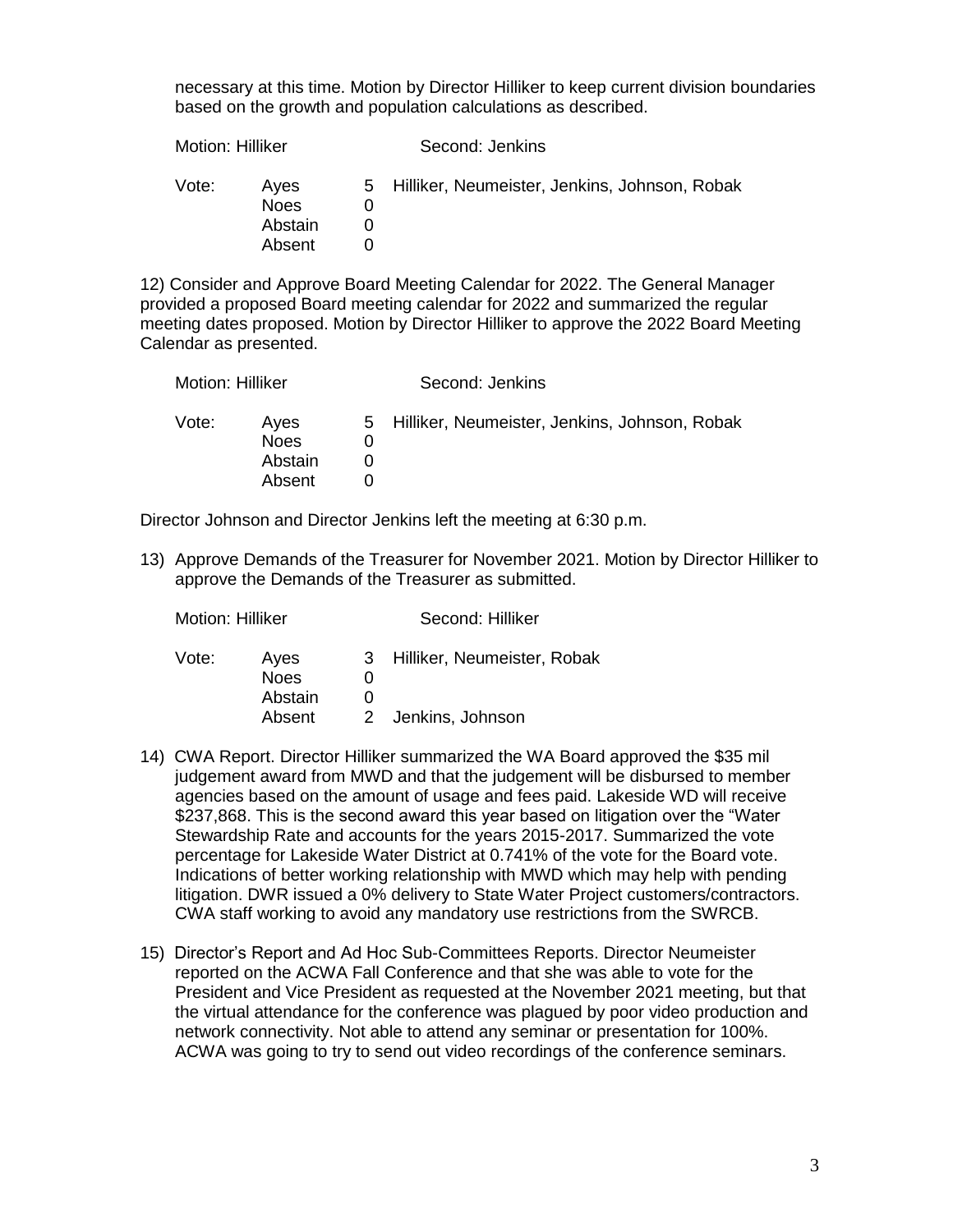necessary at this time. Motion by Director Hilliker to keep current division boundaries based on the growth and population calculations as described.

| 5 Hilliker, Neumeister, Jenkins, Johnson, Robak<br>Vote:<br>Aves |  |
|------------------------------------------------------------------|--|
| <b>Noes</b><br>Abstain<br>Absent                                 |  |

12) Consider and Approve Board Meeting Calendar for 2022. The General Manager provided a proposed Board meeting calendar for 2022 and summarized the regular meeting dates proposed. Motion by Director Hilliker to approve the 2022 Board Meeting Calendar as presented.

| Motion: Hilliker |                                          | Second: Jenkins                                 |
|------------------|------------------------------------------|-------------------------------------------------|
| Vote:            | Aves<br><b>Noes</b><br>Abstain<br>Absent | 5 Hilliker, Neumeister, Jenkins, Johnson, Robak |

Director Johnson and Director Jenkins left the meeting at 6:30 p.m.

13) Approve Demands of the Treasurer for November 2021. Motion by Director Hilliker to approve the Demands of the Treasurer as submitted.

| <b>IVIOUOLI. FIIIIKEI</b> |                                |   | Second. Hilliker              |  |  |
|---------------------------|--------------------------------|---|-------------------------------|--|--|
| Vote:                     | Aves<br><b>Noes</b><br>Abstain | O | 3 Hilliker, Neumeister, Robak |  |  |
|                           | Absent                         |   | 2 Jenkins, Johnson            |  |  |

Motion: Hilliker Second: Hilliker

- 14) CWA Report. Director Hilliker summarized the WA Board approved the \$35 mil judgement award from MWD and that the judgement will be disbursed to member agencies based on the amount of usage and fees paid. Lakeside WD will receive \$237,868. This is the second award this year based on litigation over the "Water Stewardship Rate and accounts for the years 2015-2017. Summarized the vote percentage for Lakeside Water District at 0.741% of the vote for the Board vote. Indications of better working relationship with MWD which may help with pending litigation. DWR issued a 0% delivery to State Water Project customers/contractors. CWA staff working to avoid any mandatory use restrictions from the SWRCB.
- 15) Director's Report and Ad Hoc Sub-Committees Reports. Director Neumeister reported on the ACWA Fall Conference and that she was able to vote for the President and Vice President as requested at the November 2021 meeting, but that the virtual attendance for the conference was plagued by poor video production and network connectivity. Not able to attend any seminar or presentation for 100%. ACWA was going to try to send out video recordings of the conference seminars.